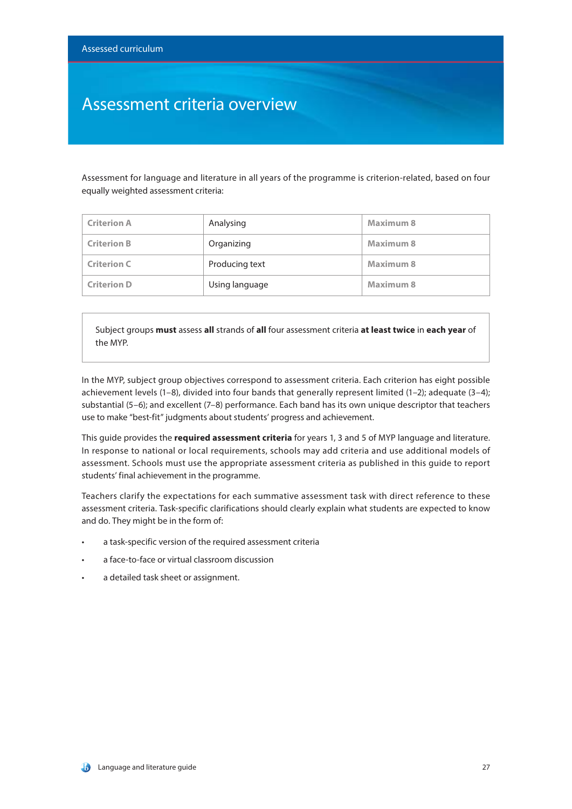### Assessment criteria overview

Assessment for language and literature in all years of the programme is criterion-related, based on four equally weighted assessment criteria:

| <b>Criterion A</b> | Analysing      | Maximum 8        |
|--------------------|----------------|------------------|
| <b>Criterion B</b> | Organizing     | Maximum 8        |
| <b>Criterion C</b> | Producing text | Maximum 8        |
| <b>Criterion D</b> | Using language | <b>Maximum 8</b> |

Subject groups **must** assess **all** strands of **all** four assessment criteria **at least twice** in **each year** of the MYP.

In the MYP, subject group objectives correspond to assessment criteria. Each criterion has eight possible achievement levels (1–8), divided into four bands that generally represent limited (1–2); adequate (3–4); substantial (5–6); and excellent (7–8) performance. Each band has its own unique descriptor that teachers use to make "best-fit" judgments about students' progress and achievement.

This guide provides the **required assessment criteria** for years 1, 3 and 5 of MYP language and literature. In response to national or local requirements, schools may add criteria and use additional models of assessment. Schools must use the appropriate assessment criteria as published in this guide to report students' final achievement in the programme.

Teachers clarify the expectations for each summative assessment task with direct reference to these assessment criteria. Task-specific clarifications should clearly explain what students are expected to know and do. They might be in the form of:

- a task-specific version of the required assessment criteria
- a face-to-face or virtual classroom discussion
- a detailed task sheet or assignment.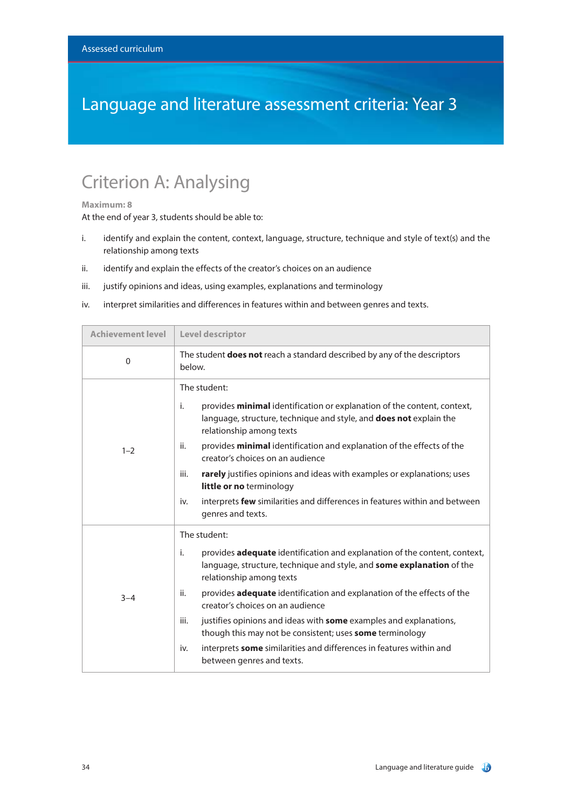### Language and literature assessment criteria: Year 3

### Criterion A: Analysing

#### **Maximum: 8**

- i. identify and explain the content, context, language, structure, technique and style of text(s) and the relationship among texts
- ii. identify and explain the effects of the creator's choices on an audience
- iii. justify opinions and ideas, using examples, explanations and terminology
- iv. interpret similarities and differences in features within and between genres and texts.

| <b>Achievement level</b> | Level descriptor                                                                                                                                                                     |
|--------------------------|--------------------------------------------------------------------------------------------------------------------------------------------------------------------------------------|
| 0                        | The student <b>does not</b> reach a standard described by any of the descriptors<br>below.                                                                                           |
| $1 - 2$                  | The student:                                                                                                                                                                         |
|                          | i.<br>provides minimal identification or explanation of the content, context,<br>language, structure, technique and style, and does not explain the<br>relationship among texts      |
|                          | ii.<br>provides minimal identification and explanation of the effects of the<br>creator's choices on an audience                                                                     |
|                          | rarely justifies opinions and ideas with examples or explanations; uses<br>iii.<br>little or no terminology                                                                          |
|                          | interprets few similarities and differences in features within and between<br>iv.<br>genres and texts.                                                                               |
|                          | The student:                                                                                                                                                                         |
| $3 - 4$                  | i.<br>provides adequate identification and explanation of the content, context,<br>language, structure, technique and style, and some explanation of the<br>relationship among texts |
|                          | provides adequate identification and explanation of the effects of the<br>ii.<br>creator's choices on an audience                                                                    |
|                          | justifies opinions and ideas with some examples and explanations,<br>iii.<br>though this may not be consistent; uses some terminology                                                |
|                          | interprets some similarities and differences in features within and<br>iv.<br>between genres and texts.                                                                              |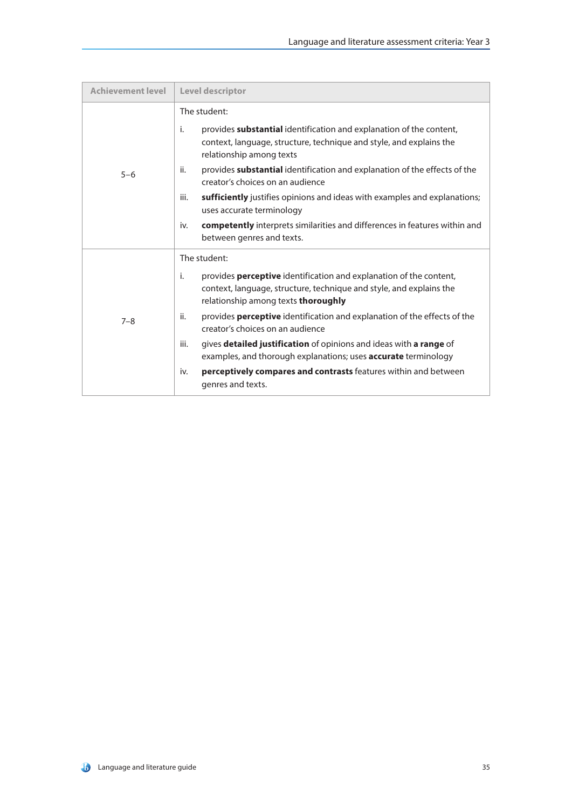| <b>Achievement level</b> | <b>Level descriptor</b>                                                                                                                                                                              |
|--------------------------|------------------------------------------------------------------------------------------------------------------------------------------------------------------------------------------------------|
|                          | The student:                                                                                                                                                                                         |
| $5 - 6$                  | provides substantial identification and explanation of the content,<br>i.<br>context, language, structure, technique and style, and explains the<br>relationship among texts                         |
|                          | ii.<br>provides substantial identification and explanation of the effects of the<br>creator's choices on an audience                                                                                 |
|                          | sufficiently justifies opinions and ideas with examples and explanations;<br>iii.<br>uses accurate terminology                                                                                       |
|                          | <b>competently</b> interprets similarities and differences in features within and<br>iv.<br>between genres and texts.                                                                                |
| $7 - 8$                  | The student:                                                                                                                                                                                         |
|                          | provides <b>perceptive</b> identification and explanation of the content,<br>i.<br>context, language, structure, technique and style, and explains the<br>relationship among texts <b>thoroughly</b> |
|                          | ii.<br>provides perceptive identification and explanation of the effects of the<br>creator's choices on an audience                                                                                  |
|                          | gives detailed justification of opinions and ideas with a range of<br>iii.<br>examples, and thorough explanations; uses <b>accurate</b> terminology                                                  |
|                          | <b>perceptively compares and contrasts</b> features within and between<br>iv.<br>genres and texts.                                                                                                   |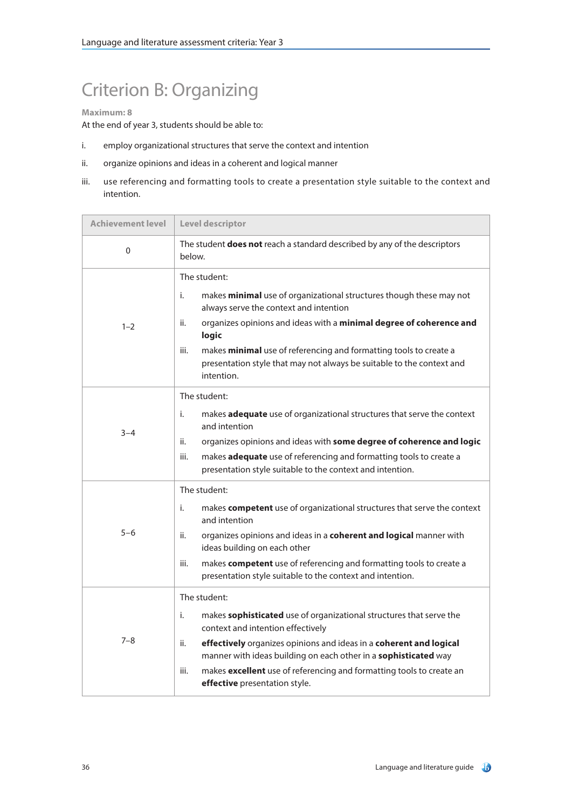### Criterion B: Organizing

#### **Maximum: 8**

- i. employ organizational structures that serve the context and intention
- ii. organize opinions and ideas in a coherent and logical manner
- iii. use referencing and formatting tools to create a presentation style suitable to the context and intention.

| <b>Achievement level</b> | Level descriptor                                                                                                                                                                                                                                                                                                                                                                                |
|--------------------------|-------------------------------------------------------------------------------------------------------------------------------------------------------------------------------------------------------------------------------------------------------------------------------------------------------------------------------------------------------------------------------------------------|
| 0                        | The student <b>does not</b> reach a standard described by any of the descriptors<br>below.                                                                                                                                                                                                                                                                                                      |
| $1 - 2$                  | The student:<br>i.<br>makes minimal use of organizational structures though these may not<br>always serve the context and intention<br>organizes opinions and ideas with a minimal degree of coherence and<br>ii.<br>logic<br>iii.<br>makes minimal use of referencing and formatting tools to create a<br>presentation style that may not always be suitable to the context and<br>intention.  |
| $3 - 4$                  | The student:<br>i.<br>makes adequate use of organizational structures that serve the context<br>and intention<br>organizes opinions and ideas with some degree of coherence and logic<br>ii.<br>makes adequate use of referencing and formatting tools to create a<br>iii.<br>presentation style suitable to the context and intention.                                                         |
| $5 - 6$                  | The student:<br>i.<br>makes competent use of organizational structures that serve the context<br>and intention<br>ii.<br>organizes opinions and ideas in a coherent and logical manner with<br>ideas building on each other<br>iii.<br>makes competent use of referencing and formatting tools to create a<br>presentation style suitable to the context and intention.                         |
| $7 - 8$                  | The student:<br>makes sophisticated use of organizational structures that serve the<br>i.<br>context and intention effectively<br>ii.<br>effectively organizes opinions and ideas in a coherent and logical<br>manner with ideas building on each other in a sophisticated way<br>makes excellent use of referencing and formatting tools to create an<br>iii.<br>effective presentation style. |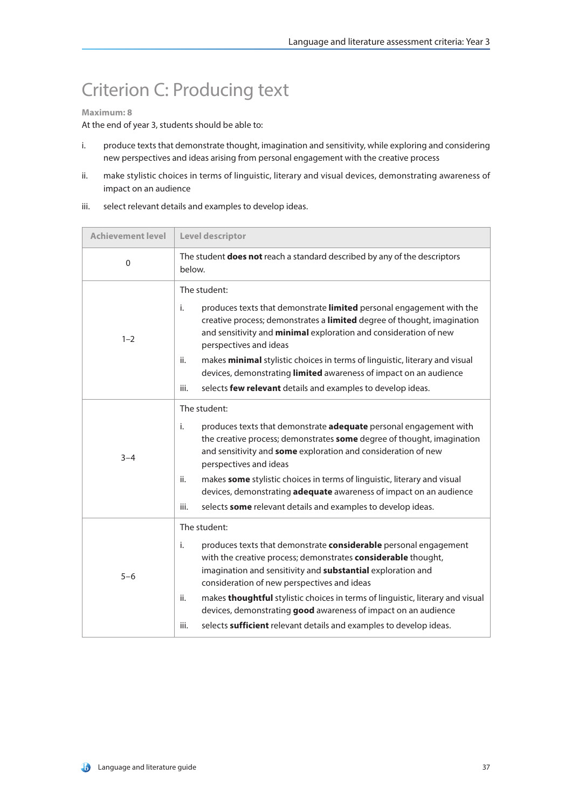# Criterion C: Producing text

#### **Maximum: 8**

- i. produce texts that demonstrate thought, imagination and sensitivity, while exploring and considering new perspectives and ideas arising from personal engagement with the creative process
- ii. make stylistic choices in terms of linguistic, literary and visual devices, demonstrating awareness of impact on an audience
- iii. select relevant details and examples to develop ideas.

| <b>Achievement level</b> | Level descriptor                                                                                                                                                                                                                                                                                                                                                                                                                                                                                               |
|--------------------------|----------------------------------------------------------------------------------------------------------------------------------------------------------------------------------------------------------------------------------------------------------------------------------------------------------------------------------------------------------------------------------------------------------------------------------------------------------------------------------------------------------------|
| $\mathbf 0$              | The student does not reach a standard described by any of the descriptors<br>below.                                                                                                                                                                                                                                                                                                                                                                                                                            |
| $1 - 2$                  | The student:<br>i.<br>produces texts that demonstrate limited personal engagement with the<br>creative process; demonstrates a limited degree of thought, imagination<br>and sensitivity and minimal exploration and consideration of new<br>perspectives and ideas<br>makes minimal stylistic choices in terms of linguistic, literary and visual<br>ii.<br>devices, demonstrating limited awareness of impact on an audience<br>iii.<br>selects few relevant details and examples to develop ideas.          |
| $3 - 4$                  | The student:<br>produces texts that demonstrate adequate personal engagement with<br>i.<br>the creative process; demonstrates some degree of thought, imagination<br>and sensitivity and some exploration and consideration of new<br>perspectives and ideas<br>ii.<br>makes some stylistic choices in terms of linguistic, literary and visual<br>devices, demonstrating adequate awareness of impact on an audience<br>iii.<br>selects some relevant details and examples to develop ideas.                  |
| $5 - 6$                  | The student:<br>i.<br>produces texts that demonstrate considerable personal engagement<br>with the creative process; demonstrates considerable thought,<br>imagination and sensitivity and substantial exploration and<br>consideration of new perspectives and ideas<br>ii.<br>makes thoughtful stylistic choices in terms of linguistic, literary and visual<br>devices, demonstrating good awareness of impact on an audience<br>iii.<br>selects sufficient relevant details and examples to develop ideas. |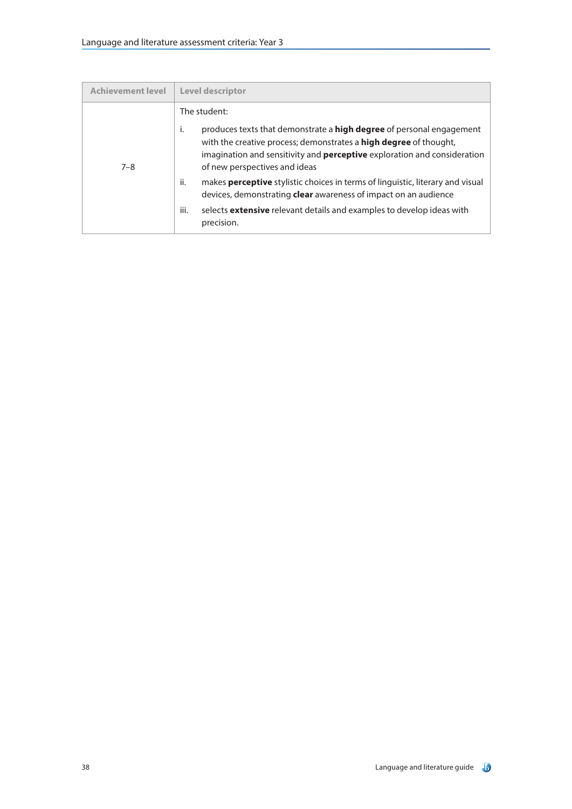| <b>Achievement level</b> | <b>Level descriptor</b>                                                                                                                                                                                                                            |
|--------------------------|----------------------------------------------------------------------------------------------------------------------------------------------------------------------------------------------------------------------------------------------------|
|                          | The student:<br>produces texts that demonstrate a <b>high degree</b> of personal engagement<br>Ť.<br>with the creative process; demonstrates a high degree of thought,<br>imagination and sensitivity and perceptive exploration and consideration |
| $7 - 8$                  | of new perspectives and ideas<br>ii.<br>makes <b>perceptive</b> stylistic choices in terms of linguistic, literary and visual<br>devices, demonstrating clear awareness of impact on an audience                                                   |
|                          | iii.<br>selects <b>extensive</b> relevant details and examples to develop ideas with<br>precision.                                                                                                                                                 |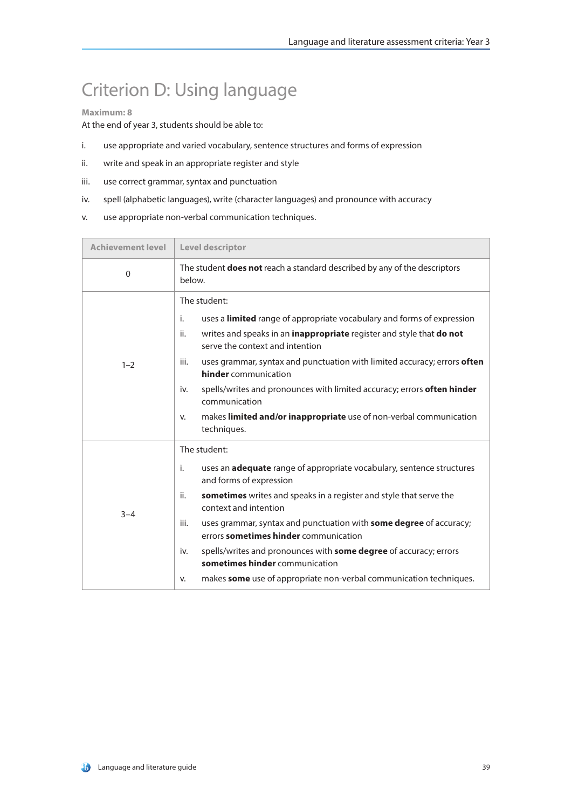## Criterion D: Using language

#### **Maximum: 8**

- i. use appropriate and varied vocabulary, sentence structures and forms of expression
- ii. write and speak in an appropriate register and style
- iii. use correct grammar, syntax and punctuation
- iv. spell (alphabetic languages), write (character languages) and pronounce with accuracy
- v. use appropriate non-verbal communication techniques.

| <b>Achievement level</b> | Level descriptor                                                                                                    |  |
|--------------------------|---------------------------------------------------------------------------------------------------------------------|--|
| $\Omega$                 | The student <b>does not</b> reach a standard described by any of the descriptors<br>below.                          |  |
|                          | The student:                                                                                                        |  |
|                          | uses a limited range of appropriate vocabulary and forms of expression<br>i.                                        |  |
| $1 - 2$                  | writes and speaks in an inappropriate register and style that do not<br>ii.<br>serve the context and intention      |  |
|                          | uses grammar, syntax and punctuation with limited accuracy; errors often<br>iii.<br><b>hinder</b> communication     |  |
|                          | spells/writes and pronounces with limited accuracy; errors often hinder<br>iv.<br>communication                     |  |
|                          | makes limited and/or inappropriate use of non-verbal communication<br>v.<br>techniques.                             |  |
|                          | The student:                                                                                                        |  |
| $3 - 4$                  | i.<br>uses an <b>adequate</b> range of appropriate vocabulary, sentence structures<br>and forms of expression       |  |
|                          | sometimes writes and speaks in a register and style that serve the<br>ii.<br>context and intention                  |  |
|                          | uses grammar, syntax and punctuation with some degree of accuracy;<br>iii.<br>errors sometimes hinder communication |  |
|                          | spells/writes and pronounces with some degree of accuracy; errors<br>iv.<br>sometimes hinder communication          |  |
|                          | makes some use of appropriate non-verbal communication techniques.<br>v.                                            |  |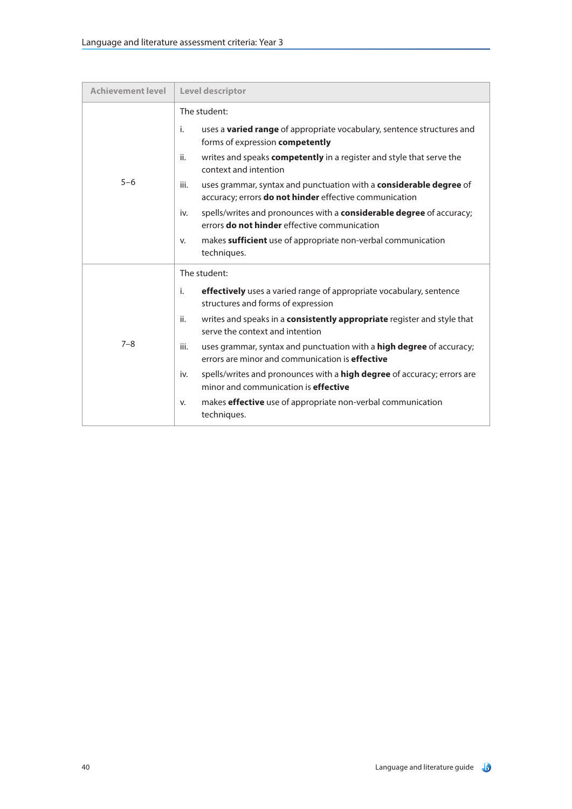| <b>Achievement level</b> | Level descriptor                                                                                                                                                                                                                                                                                                                                                                                                                                                                                                                                                                                                                  |
|--------------------------|-----------------------------------------------------------------------------------------------------------------------------------------------------------------------------------------------------------------------------------------------------------------------------------------------------------------------------------------------------------------------------------------------------------------------------------------------------------------------------------------------------------------------------------------------------------------------------------------------------------------------------------|
| $5 - 6$                  | The student:<br>i.<br>uses a <b>varied range</b> of appropriate vocabulary, sentence structures and<br>forms of expression competently<br>writes and speaks <b>competently</b> in a register and style that serve the<br>ii.<br>context and intention<br>uses grammar, syntax and punctuation with a considerable degree of<br>iii.<br>accuracy; errors do not hinder effective communication<br>spells/writes and pronounces with a considerable degree of accuracy;<br>iv.<br>errors <b>do not hinder</b> effective communication<br>makes sufficient use of appropriate non-verbal communication<br>v.<br>techniques.          |
| $7 - 8$                  | The student:<br><b>effectively</b> uses a varied range of appropriate vocabulary, sentence<br>i.<br>structures and forms of expression<br>writes and speaks in a consistently appropriate register and style that<br>ii.<br>serve the context and intention<br>uses grammar, syntax and punctuation with a high degree of accuracy;<br>iii.<br>errors are minor and communication is <b>effective</b><br>spells/writes and pronounces with a <b>high degree</b> of accuracy; errors are<br>iv.<br>minor and communication is effective<br>makes <b>effective</b> use of appropriate non-verbal communication<br>V.<br>techniques. |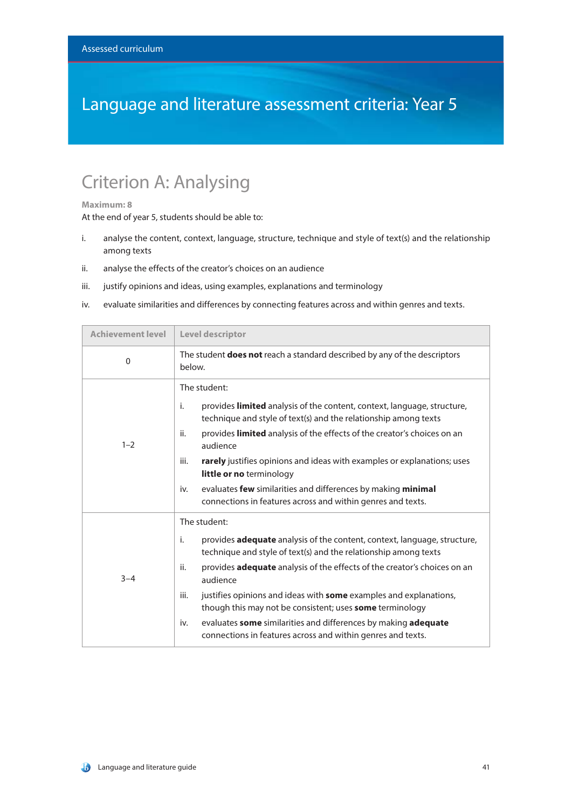### Language and literature assessment criteria: Year 5

### Criterion A: Analysing

#### **Maximum: 8**

- i. analyse the content, context, language, structure, technique and style of text(s) and the relationship among texts
- ii. analyse the effects of the creator's choices on an audience
- iii. justify opinions and ideas, using examples, explanations and terminology
- iv. evaluate similarities and differences by connecting features across and within genres and texts.

| <b>Achievement level</b> | Level descriptor                                                                                                                                                                                                                                                                                                                                                                                                                                                                                                                                         |
|--------------------------|----------------------------------------------------------------------------------------------------------------------------------------------------------------------------------------------------------------------------------------------------------------------------------------------------------------------------------------------------------------------------------------------------------------------------------------------------------------------------------------------------------------------------------------------------------|
| $\mathbf{0}$             | The student <b>does not</b> reach a standard described by any of the descriptors<br>below.                                                                                                                                                                                                                                                                                                                                                                                                                                                               |
| $1 - 2$                  | The student:<br>provides <b>limited</b> analysis of the content, context, language, structure,<br>i.<br>technique and style of text(s) and the relationship among texts<br>provides limited analysis of the effects of the creator's choices on an<br>ii.<br>audience<br>rarely justifies opinions and ideas with examples or explanations; uses<br>iii.<br>little or no terminology<br>evaluates few similarities and differences by making minimal<br>iv.<br>connections in features across and within genres and texts.                               |
| $3 - 4$                  | The student:<br>provides adequate analysis of the content, context, language, structure,<br>i.<br>technique and style of text(s) and the relationship among texts<br>provides adequate analysis of the effects of the creator's choices on an<br>ii.<br>audience<br>justifies opinions and ideas with some examples and explanations,<br>iii.<br>though this may not be consistent; uses <b>some</b> terminology<br>evaluates some similarities and differences by making adequate<br>iv.<br>connections in features across and within genres and texts. |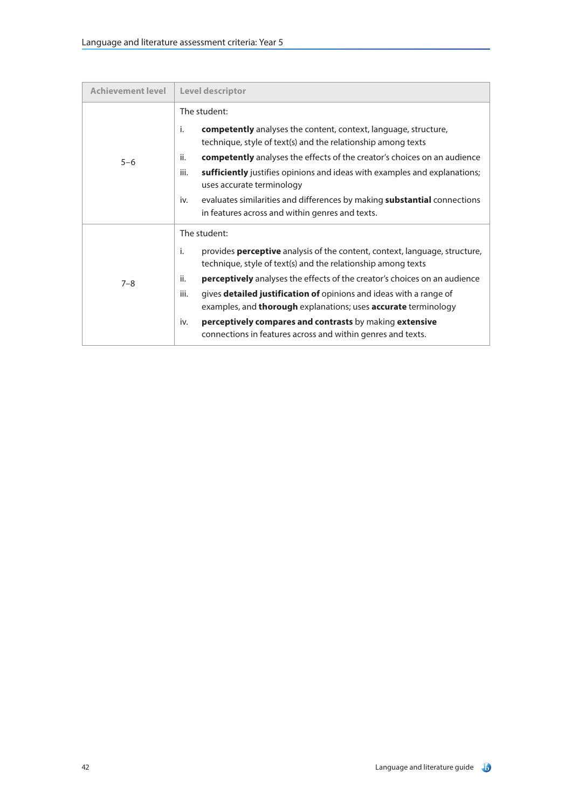| <b>Achievement level</b> | Level descriptor                                                                                                                                                                                                                                                                                                                                                                                                                                                                                                                                           |  |
|--------------------------|------------------------------------------------------------------------------------------------------------------------------------------------------------------------------------------------------------------------------------------------------------------------------------------------------------------------------------------------------------------------------------------------------------------------------------------------------------------------------------------------------------------------------------------------------------|--|
| $5 - 6$                  | The student:<br>j.<br><b>competently</b> analyses the content, context, language, structure,<br>technique, style of text(s) and the relationship among texts<br>ii.<br><b>competently</b> analyses the effects of the creator's choices on an audience<br>iii.<br>sufficiently justifies opinions and ideas with examples and explanations;<br>uses accurate terminology<br>evaluates similarities and differences by making <b>substantial</b> connections<br>iv.<br>in features across and within genres and texts.                                      |  |
| $7 - 8$                  | The student:<br>provides <b>perceptive</b> analysis of the content, context, language, structure,<br>i.<br>technique, style of text(s) and the relationship among texts<br><b>perceptively</b> analyses the effects of the creator's choices on an audience<br>ii.<br>iii.<br>gives <b>detailed justification of</b> opinions and ideas with a range of<br>examples, and thorough explanations; uses accurate terminology<br>perceptively compares and contrasts by making extensive<br>iv.<br>connections in features across and within genres and texts. |  |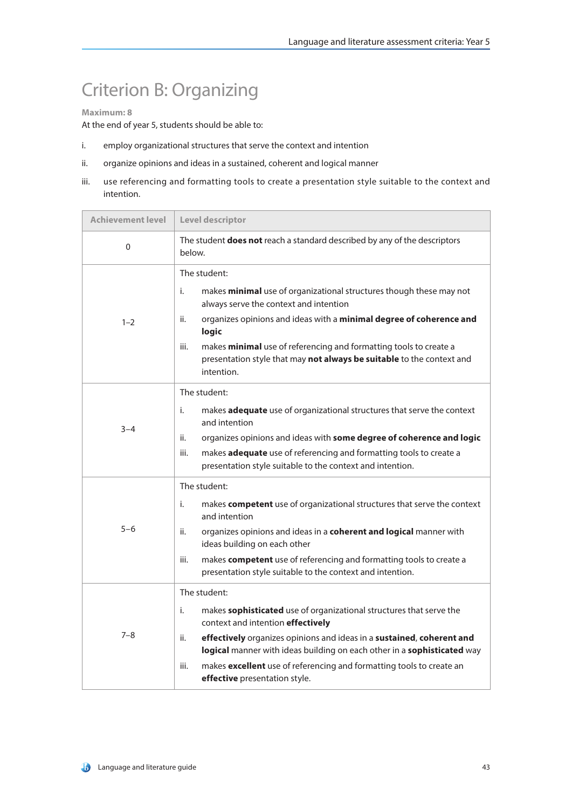### Criterion B: Organizing

#### **Maximum: 8**

- i. employ organizational structures that serve the context and intention
- ii. organize opinions and ideas in a sustained, coherent and logical manner
- iii. use referencing and formatting tools to create a presentation style suitable to the context and intention.

| <b>Achievement level</b> | Level descriptor                                                                                                                                                 |
|--------------------------|------------------------------------------------------------------------------------------------------------------------------------------------------------------|
| 0                        | The student <b>does not</b> reach a standard described by any of the descriptors<br>below.                                                                       |
|                          | The student:                                                                                                                                                     |
|                          | i.<br>makes minimal use of organizational structures though these may not<br>always serve the context and intention                                              |
| $1 - 2$                  | organizes opinions and ideas with a minimal degree of coherence and<br>ii.<br>logic                                                                              |
|                          | makes minimal use of referencing and formatting tools to create a<br>iii.<br>presentation style that may not always be suitable to the context and<br>intention. |
|                          | The student:                                                                                                                                                     |
| $3 - 4$                  | i.<br>makes adequate use of organizational structures that serve the context<br>and intention                                                                    |
|                          | organizes opinions and ideas with some degree of coherence and logic<br>ii.                                                                                      |
|                          | makes adequate use of referencing and formatting tools to create a<br>iii.<br>presentation style suitable to the context and intention.                          |
|                          | The student:                                                                                                                                                     |
|                          | i.<br>makes competent use of organizational structures that serve the context<br>and intention                                                                   |
| $5 - 6$                  | organizes opinions and ideas in a coherent and logical manner with<br>ii.<br>ideas building on each other                                                        |
|                          | iii.<br>makes competent use of referencing and formatting tools to create a<br>presentation style suitable to the context and intention.                         |
|                          | The student:                                                                                                                                                     |
| $7 - 8$                  | makes sophisticated use of organizational structures that serve the<br>i.<br>context and intention effectively                                                   |
|                          | effectively organizes opinions and ideas in a sustained, coherent and<br>ii.<br>logical manner with ideas building on each other in a sophisticated way          |
|                          | makes excellent use of referencing and formatting tools to create an<br>iii.<br>effective presentation style.                                                    |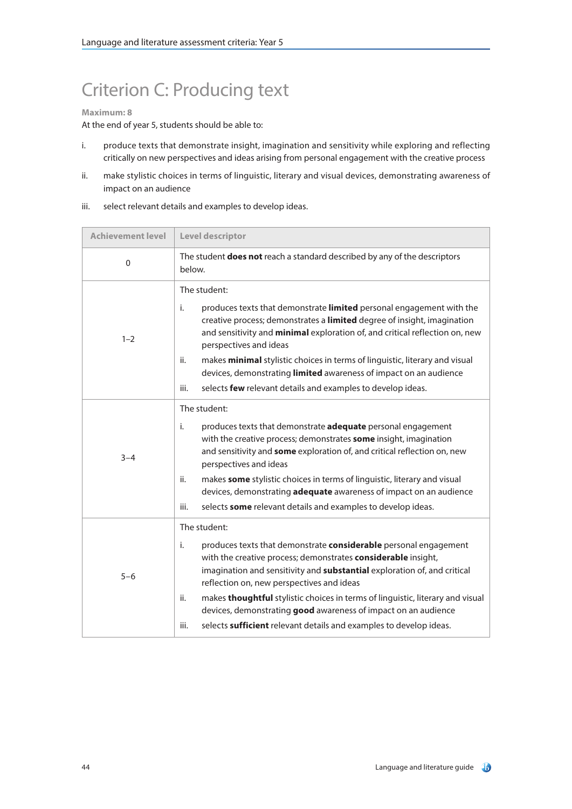## Criterion C: Producing text

#### **Maximum: 8**

- i. produce texts that demonstrate insight, imagination and sensitivity while exploring and reflecting critically on new perspectives and ideas arising from personal engagement with the creative process
- ii. make stylistic choices in terms of linguistic, literary and visual devices, demonstrating awareness of impact on an audience
- iii. select relevant details and examples to develop ideas.

| <b>Achievement level</b> | Level descriptor                                                                                                                                                                                                                                                                                                                                                                                                                                                                                                          |
|--------------------------|---------------------------------------------------------------------------------------------------------------------------------------------------------------------------------------------------------------------------------------------------------------------------------------------------------------------------------------------------------------------------------------------------------------------------------------------------------------------------------------------------------------------------|
| $\mathbf 0$              | The student does not reach a standard described by any of the descriptors<br>below.                                                                                                                                                                                                                                                                                                                                                                                                                                       |
| $1 - 2$                  | The student:<br>i.<br>produces texts that demonstrate limited personal engagement with the<br>creative process; demonstrates a limited degree of insight, imagination<br>and sensitivity and minimal exploration of, and critical reflection on, new<br>perspectives and ideas<br>makes minimal stylistic choices in terms of linguistic, literary and visual<br>ii.<br>devices, demonstrating limited awareness of impact on an audience<br>iii.<br>selects few relevant details and examples to develop ideas.          |
| $3 - 4$                  | The student:<br>i.<br>produces texts that demonstrate <b>adequate</b> personal engagement<br>with the creative process; demonstrates some insight, imagination<br>and sensitivity and some exploration of, and critical reflection on, new<br>perspectives and ideas<br>ii.<br>makes some stylistic choices in terms of linguistic, literary and visual<br>devices, demonstrating adequate awareness of impact on an audience<br>iii.<br>selects some relevant details and examples to develop ideas.                     |
| $5 - 6$                  | The student:<br>i.<br>produces texts that demonstrate considerable personal engagement<br>with the creative process; demonstrates considerable insight,<br>imagination and sensitivity and substantial exploration of, and critical<br>reflection on, new perspectives and ideas<br>ii.<br>makes thoughtful stylistic choices in terms of linguistic, literary and visual<br>devices, demonstrating good awareness of impact on an audience<br>iii.<br>selects sufficient relevant details and examples to develop ideas. |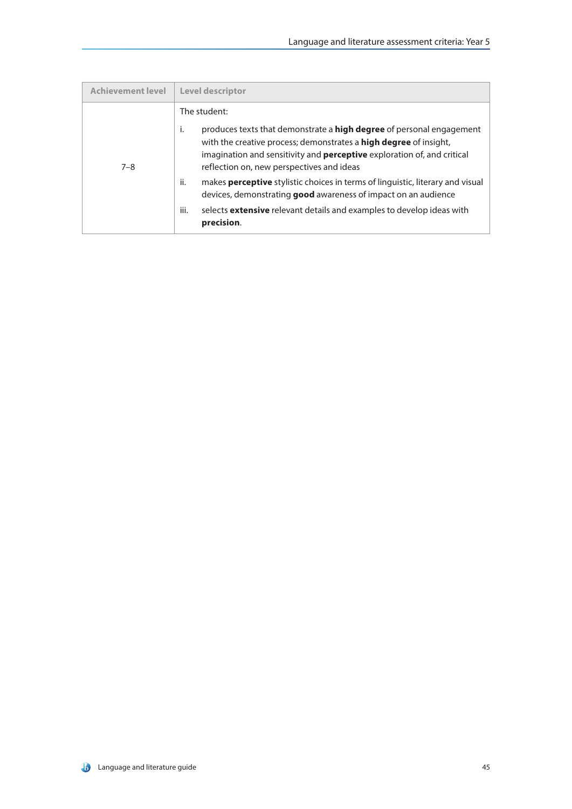| <b>Achievement level</b> | <b>Level descriptor</b>                                                                                                                                                                                                                                                                      |
|--------------------------|----------------------------------------------------------------------------------------------------------------------------------------------------------------------------------------------------------------------------------------------------------------------------------------------|
| $7 - 8$                  | The student:                                                                                                                                                                                                                                                                                 |
|                          | produces texts that demonstrate a <b>high degree</b> of personal engagement<br>j.<br>with the creative process; demonstrates a <b>high degree</b> of insight,<br>imagination and sensitivity and <b>perceptive</b> exploration of, and critical<br>reflection on, new perspectives and ideas |
|                          | ii.<br>makes <b>perceptive</b> stylistic choices in terms of linguistic, literary and visual<br>devices, demonstrating good awareness of impact on an audience                                                                                                                               |
|                          | iii.<br>selects <b>extensive</b> relevant details and examples to develop ideas with<br>precision.                                                                                                                                                                                           |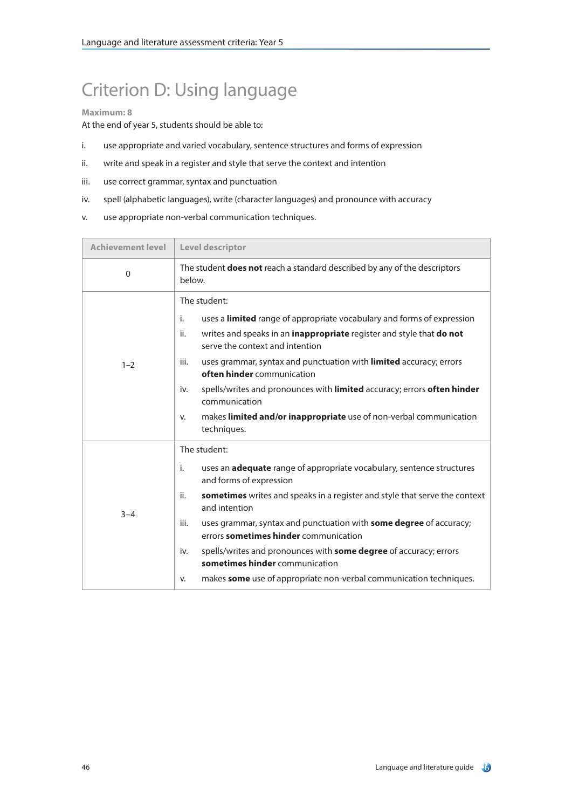# Criterion D: Using language

#### **Maximum: 8**

- i. use appropriate and varied vocabulary, sentence structures and forms of expression
- ii. write and speak in a register and style that serve the context and intention
- iii. use correct grammar, syntax and punctuation
- iv. spell (alphabetic languages), write (character languages) and pronounce with accuracy
- v. use appropriate non-verbal communication techniques.

| <b>Achievement level</b> | Level descriptor                                                                                                    |
|--------------------------|---------------------------------------------------------------------------------------------------------------------|
| $\Omega$                 | The student <b>does not</b> reach a standard described by any of the descriptors<br>below.                          |
| $1 - 2$                  | The student:                                                                                                        |
|                          | i.<br>uses a limited range of appropriate vocabulary and forms of expression                                        |
|                          | writes and speaks in an inappropriate register and style that do not<br>ii.<br>serve the context and intention      |
|                          | uses grammar, syntax and punctuation with limited accuracy; errors<br>iii.<br>often hinder communication            |
|                          | spells/writes and pronounces with limited accuracy; errors often hinder<br>iv.<br>communication                     |
|                          | makes limited and/or inappropriate use of non-verbal communication<br>v.<br>techniques.                             |
| $3 - 4$                  | The student:                                                                                                        |
|                          | i.<br>uses an <b>adequate</b> range of appropriate vocabulary, sentence structures<br>and forms of expression       |
|                          | sometimes writes and speaks in a register and style that serve the context<br>ii.<br>and intention                  |
|                          | uses grammar, syntax and punctuation with some degree of accuracy;<br>iii.<br>errors sometimes hinder communication |
|                          | spells/writes and pronounces with some degree of accuracy; errors<br>iv.<br>sometimes hinder communication          |
|                          | makes some use of appropriate non-verbal communication techniques.<br>v.                                            |